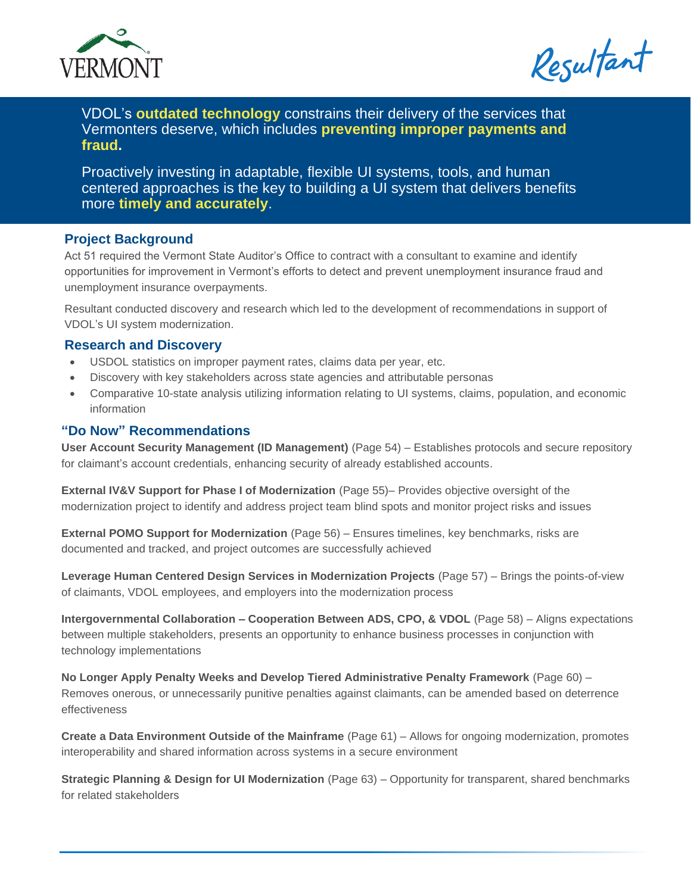

Resultant

VDOL's **outdated technology** constrains their delivery of the services that Vermonters deserve, which includes **preventing improper payments and fraud.**

Proactively investing in adaptable, flexible UI systems, tools, and human centered approaches is the key to building a UI system that delivers benefits more **timely and accurately**.

## **Project Background**

Act 51 required the Vermont State Auditor's Office to contract with a consultant to examine and identify opportunities for improvement in Vermont's efforts to detect and prevent unemployment insurance fraud and unemployment insurance overpayments.

Resultant conducted discovery and research which led to the development of recommendations in support of VDOL's UI system modernization.

## **Research and Discovery**

- USDOL statistics on improper payment rates, claims data per year, etc.
- Discovery with key stakeholders across state agencies and attributable personas
- Comparative 10-state analysis utilizing information relating to UI systems, claims, population, and economic information

## **"Do Now" Recommendations**

**User Account Security Management (ID Management)** (Page 54) – Establishes protocols and secure repository for claimant's account credentials, enhancing security of already established accounts.

**External IV&V Support for Phase I of Modernization** (Page 55)– Provides objective oversight of the modernization project to identify and address project team blind spots and monitor project risks and issues

**External POMO Support for Modernization** (Page 56) – Ensures timelines, key benchmarks, risks are documented and tracked, and project outcomes are successfully achieved

**Leverage Human Centered Design Services in Modernization Projects** (Page 57) – Brings the points-of-view of claimants, VDOL employees, and employers into the modernization process

**Intergovernmental Collaboration – Cooperation Between ADS, CPO, & VDOL** (Page 58) – Aligns expectations between multiple stakeholders, presents an opportunity to enhance business processes in conjunction with technology implementations

**No Longer Apply Penalty Weeks and Develop Tiered Administrative Penalty Framework** (Page 60) – Removes onerous, or unnecessarily punitive penalties against claimants, can be amended based on deterrence effectiveness

**Create a Data Environment Outside of the Mainframe** (Page 61) – Allows for ongoing modernization, promotes interoperability and shared information across systems in a secure environment

**Strategic Planning & Design for UI Modernization** (Page 63) – Opportunity for transparent, shared benchmarks for related stakeholders